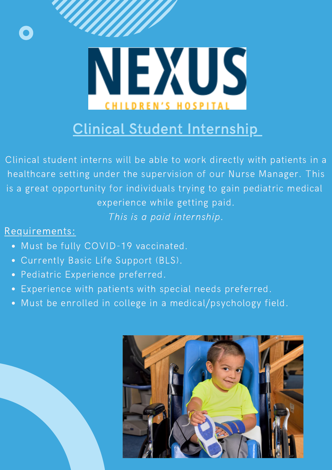

# Clinical Student Internship

Clinical student interns will be able to work directly with patients in a healthcare setting under the supervision of our Nurse Manager. This is a great opportunity for individuals trying to gain pediatric medical experience while getting paid. This is a paid internship.

## Requirements:

- Must be fully COVID-19 vaccinated.
- Currently Basic Life Support (BLS).
- Pediatric Experience preferred.
- Experience with patients with special needs preferred.
- Must be enrolled in college in a medical/psychology field.